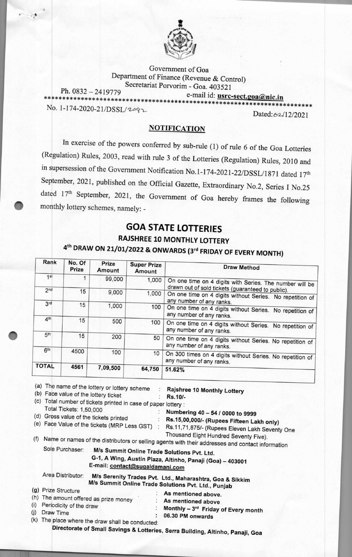

Government of Goa Department of Finance (Revenue & Control) Secretariat Porvorim - Goa. 403521 Ph. 0832 — 2419779 e-mail id: **usrc-sect.goaaxic.in \*\*\*\*\*\*\*\*\*\*\*\*\*\*\*\*\*\*\*\*\*\*\*\*\*\*\*\*\*\*\*\*\*\*\*\*\*\*\*\*\*\*\*\*\*\*\*\*\*\*\*\*\*\*\*\*\*\*\*\*\*\*\*\*\*\*\*\*\*\*\*\***  No. 1-174-2020-21/DSSL/2092

Dated: 62/12/2021

#### **NOTIFICATION**

In exercise of the powers conferred by sub-rule (1) of rule 6 of the Goa Lotteries (Regulation) Rules, 2003, read with rule 3 of the Lotteries (Regulation) Rules, 2010 and in supersession of the Government Notification No.1-174-2021-22/DSSL/1871 dated 17th September, 2021, published on the Official Gazette, Extraordinary No.2, Series I No.25 dated 17th September, 2021, the Government of Goa hereby frames the following • monthly lottery schemes, namely: **-** 

## **GOA STATE LOTTERIES**

## **RAJSHREE 10 MONTHLY LOTTERY**

# **4th DRAW ON 21/01/2022 & ONWARDS (3rd FRIDAY OF EVERY MONTH)**

| Rank                                                                           | No. Of<br>Prize         | Prize<br>Amount                                | <b>Super Prize</b><br>Amount                     | <b>Draw Method</b>                                                                                                                                                                                                                           |
|--------------------------------------------------------------------------------|-------------------------|------------------------------------------------|--------------------------------------------------|----------------------------------------------------------------------------------------------------------------------------------------------------------------------------------------------------------------------------------------------|
| 1 <sup>st</sup>                                                                | 1                       | 99,000                                         | 1,000                                            | On one time on 4 digits with Series. The number will be                                                                                                                                                                                      |
| 2 <sub>nd</sub>                                                                | 15                      | 9,000                                          | 1,000                                            | drawn out of sold tickets (guaranteed to public).<br>On one time on 4 digits without Series. No repetition of<br>any number of any ranks.                                                                                                    |
| 3rd                                                                            | 15                      | 1,000                                          | 100                                              | On one time on 4 digits without Series. No repetition of<br>any number of any ranks.                                                                                                                                                         |
| 4 <sup>th</sup>                                                                | 15                      | 500                                            | 100                                              | On one time on 4 digits without Series. No repetition of<br>any number of any ranks.                                                                                                                                                         |
| 5 <sup>th</sup>                                                                | 15                      | 200                                            | 50                                               | On one time on 4 digits without Series. No repetition of<br>any number of any ranks.                                                                                                                                                         |
| 6 <sup>th</sup>                                                                | 4500                    | 100                                            | 10                                               | On 300 times on 4 digits without Series. No repetition of<br>any number of any ranks.                                                                                                                                                        |
| <b>TOTAL</b>                                                                   | 4561                    | 7,09,500                                       | 64,750                                           | 51.62%                                                                                                                                                                                                                                       |
|                                                                                |                         | (e) Face Value of the tickets (MRP Less GST) : |                                                  | Rs.15,00,000/- (Rupees Fifteen Lakh only)<br>Rs.11,71,875/- (Rupees Eleven Lakh Seventy One<br>Thousand Eight Hundred Seventy Five).<br>(f) Name or names of the distributors or selling agents with their addresses and contact information |
|                                                                                | Sole Purchaser:         |                                                | E-mail: contact@sugaldamani.com                  | M/s Summit Online Trade Solutions Pvt. Ltd.<br>G-1, A Wing, Austin Plaza, Altinho, Panaji (Goa) - 403001                                                                                                                                     |
|                                                                                | Area Distributor:       |                                                |                                                  | M/s Serenity Trades Pvt. Ltd., Maharashtra, Goa & Sikkim<br>M/s Summit Online Trade Solutions Pvt. Ltd., Punjab                                                                                                                              |
| (g) Prize Structure<br>(i)                                                     | Periodicity of the draw | (h) The amount offered as prize money          |                                                  | As mentioned above.<br>As mentioned above                                                                                                                                                                                                    |
| Draw Time<br>(j)                                                               |                         |                                                |                                                  | Monthly - 3rd Friday of Every month                                                                                                                                                                                                          |
| Directorate of Small Savings & Lotteries, Serra Building, Altinho, Panaji, Goa |                         |                                                | (k) The place where the draw shall be conducted: | 06.30 PM onwards                                                                                                                                                                                                                             |